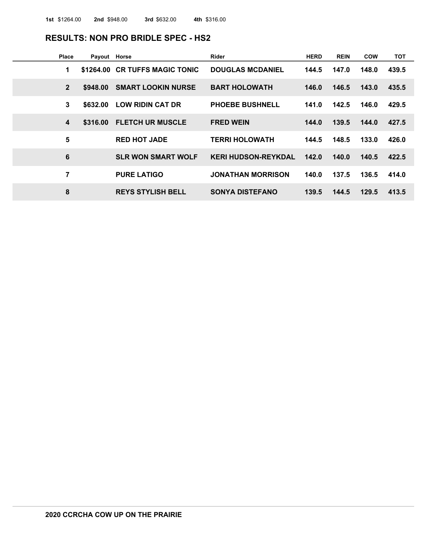#### **RESULTS: NON PRO BRIDLE SPEC - HS2**

| <b>Place</b> | Payout Horse |                                | <b>Rider</b>               | <b>HERD</b> | <b>REIN</b> | <b>COW</b> | тот   |
|--------------|--------------|--------------------------------|----------------------------|-------------|-------------|------------|-------|
| 1            |              | \$1264.00 CR TUFFS MAGIC TONIC | <b>DOUGLAS MCDANIEL</b>    | 144.5       | 147.0       | 148.0      | 439.5 |
| $\mathbf{2}$ | \$948,00     | <b>SMART LOOKIN NURSE</b>      | <b>BART HOLOWATH</b>       | 146.0       | 146.5       | 143.0      | 435.5 |
| 3            | \$632.00     | <b>LOW RIDIN CAT DR</b>        | <b>PHOEBE BUSHNELL</b>     | 141.0       | 142.5       | 146.0      | 429.5 |
| 4            | \$316.00     | <b>FLETCH UR MUSCLE</b>        | <b>FRED WEIN</b>           | 144.0       | 139.5       | 144.0      | 427.5 |
| 5            |              | <b>RED HOT JADE</b>            | <b>TERRI HOLOWATH</b>      | 144.5       | 148.5       | 133.0      | 426.0 |
| 6            |              | <b>SLR WON SMART WOLF</b>      | <b>KERI HUDSON-REYKDAL</b> | 142.0       | 140.0       | 140.5      | 422.5 |
| 7            |              | <b>PURE LATIGO</b>             | <b>JONATHAN MORRISON</b>   | 140.0       | 137.5       | 136.5      | 414.0 |
| 8            |              | <b>REYS STYLISH BELL</b>       | <b>SONYA DISTEFANO</b>     | 139.5       | 144.5       | 129.5      | 413.5 |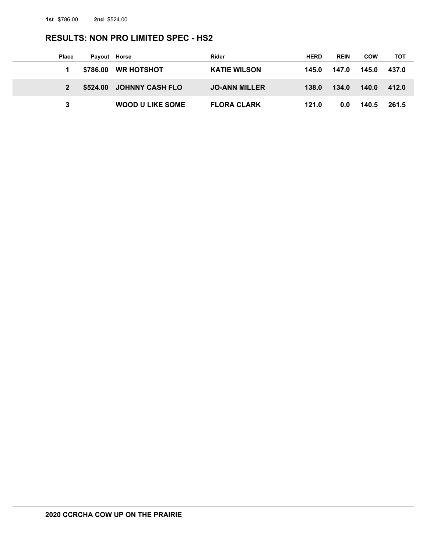## **RESULTS: NON PRO LIMITED SPEC - HS2**

| <b>Place</b> | Payout Horse |                          | Rider                | <b>HERD</b> | <b>REIN</b> | <b>COW</b> | тот   |  |
|--------------|--------------|--------------------------|----------------------|-------------|-------------|------------|-------|--|
|              |              | \$786.00 WR HOTSHOT      | <b>KATIE WILSON</b>  | 145.0       | 147.0       | 145.0      | 437.0 |  |
|              |              | \$524.00 JOHNNY CASH FLO | <b>JO-ANN MILLER</b> | 138.0       | 134.0       | 140.0      | 412.0 |  |
|              |              | <b>WOOD U LIKE SOME</b>  | <b>FLORA CLARK</b>   | 121.0       | 0.0         | 140.5      | 261.5 |  |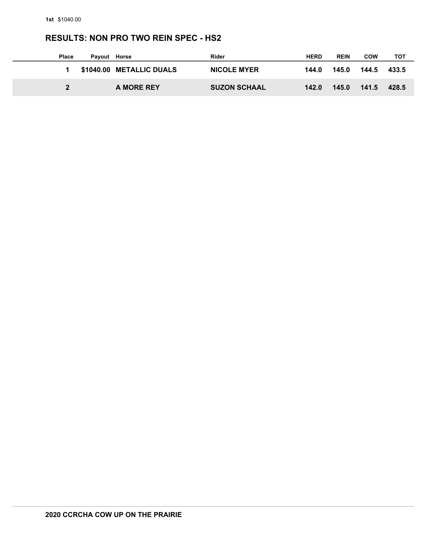## **RESULTS: NON PRO TWO REIN SPEC - HS2**

| <b>Place</b> | Payout Horse |                          | Rider               | <b>HERD</b> | <b>REIN</b> | <b>COW</b> | тот   |
|--------------|--------------|--------------------------|---------------------|-------------|-------------|------------|-------|
|              |              | \$1040.00 METALLIC DUALS | <b>NICOLE MYER</b>  | 144.0       | 145.0       | 144.5      | 433.5 |
|              |              | A MORE REY               | <b>SUZON SCHAAL</b> | 142.0       | 145.0       | 141.5      | 428.5 |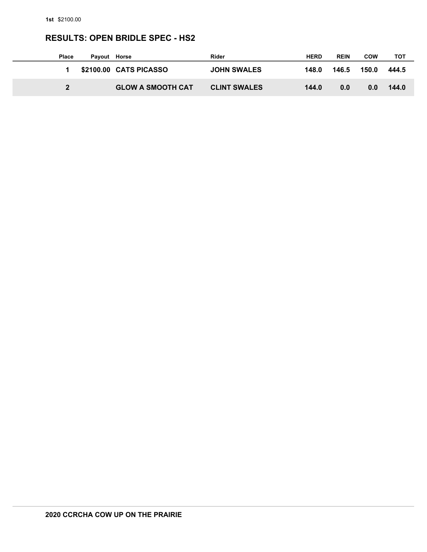# **RESULTS: OPEN BRIDLE SPEC - HS2**

| <b>Place</b> | Payout Horse |                          | Rider               | <b>HERD</b> | <b>REIN</b> | <b>COW</b> | тот   |
|--------------|--------------|--------------------------|---------------------|-------------|-------------|------------|-------|
|              |              | \$2100.00 CATS PICASSO   | <b>JOHN SWALES</b>  | 148.0       | 146.5       | 150.0      | 444.5 |
|              |              | <b>GLOW A SMOOTH CAT</b> | <b>CLINT SWALES</b> | 144.0       | 0.0         | 0.0        | 144.0 |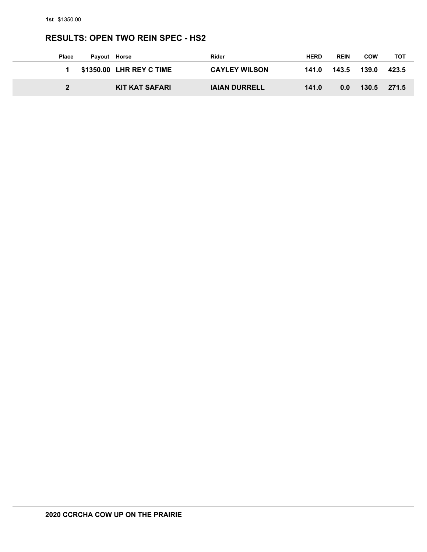# **RESULTS: OPEN TWO REIN SPEC - HS2**

| <b>Place</b> | Payout Horse |                          | Rider                | <b>HERD</b> | <b>REIN</b> | <b>COW</b> | тот   |
|--------------|--------------|--------------------------|----------------------|-------------|-------------|------------|-------|
|              |              | \$1350.00 LHR REY C TIME | <b>CAYLEY WILSON</b> | 141.0       | 143.5       | 139.0      | 423.5 |
|              |              | <b>KIT KAT SAFARI</b>    | <b>IAIAN DURRELL</b> | 141.0       | 0.0         | 130.5      | 271.5 |